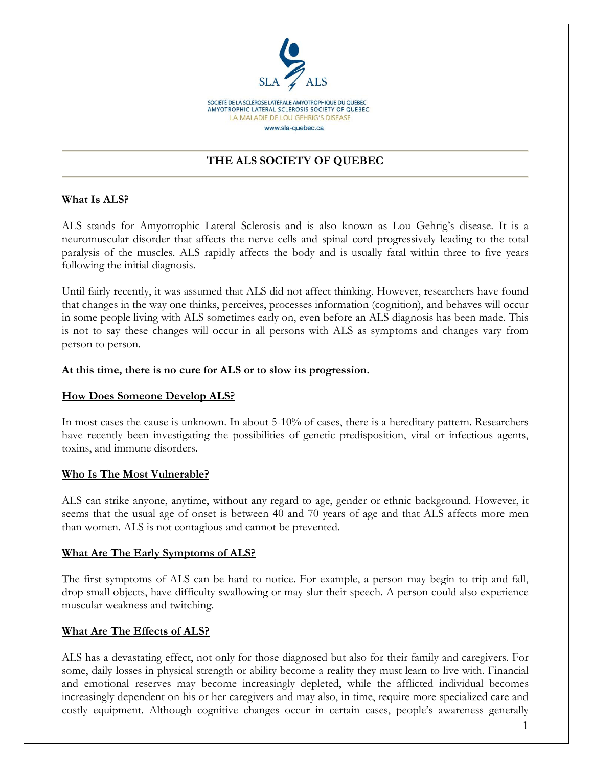

# THE ALS SOCIETY OF QUEBEC

## What Is ALS?

ALS stands for Amyotrophic Lateral Sclerosis and is also known as Lou Gehrig's disease. It is a neuromuscular disorder that affects the nerve cells and spinal cord progressively leading to the total paralysis of the muscles. ALS rapidly affects the body and is usually fatal within three to five years following the initial diagnosis.

Until fairly recently, it was assumed that ALS did not affect thinking. However, researchers have found that changes in the way one thinks, perceives, processes information (cognition), and behaves will occur in some people living with ALS sometimes early on, even before an ALS diagnosis has been made. This is not to say these changes will occur in all persons with ALS as symptoms and changes vary from person to person.

### At this time, there is no cure for ALS or to slow its progression.

### How Does Someone Develop ALS?

In most cases the cause is unknown. In about 5-10% of cases, there is a hereditary pattern. Researchers have recently been investigating the possibilities of genetic predisposition, viral or infectious agents, toxins, and immune disorders.

#### Who Is The Most Vulnerable?

ALS can strike anyone, anytime, without any regard to age, gender or ethnic background. However, it seems that the usual age of onset is between 40 and 70 years of age and that ALS affects more men than women. ALS is not contagious and cannot be prevented.

#### What Are The Early Symptoms of ALS?

The first symptoms of ALS can be hard to notice. For example, a person may begin to trip and fall, drop small objects, have difficulty swallowing or may slur their speech. A person could also experience muscular weakness and twitching.

### What Are The Effects of ALS?

ALS has a devastating effect, not only for those diagnosed but also for their family and caregivers. For some, daily losses in physical strength or ability become a reality they must learn to live with. Financial and emotional reserves may become increasingly depleted, while the afflicted individual becomes increasingly dependent on his or her caregivers and may also, in time, require more specialized care and costly equipment. Although cognitive changes occur in certain cases, people's awareness generally